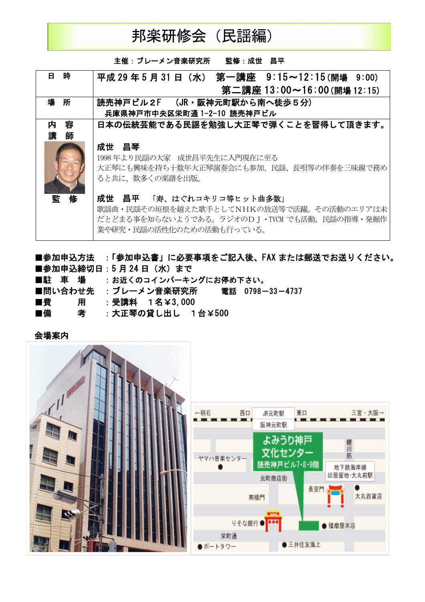

主催:ブレーメン音楽研究所 監修:成世 昌平 **B** 時 平成 29 年 5 月 31 日 (水) 第一講座 9:15~12:15(開場 9:00) 第二講座 13:00~16:00 (開場 12:15) 読売神戸ビル2F (JR·阪神元町駅から南へ徒歩5分) 場 所 兵庫県神戸市中央区栄町通 1-2-10 読売神戸ビル 内 日本の伝統芸能である民謡を勉強し大正琴で弾くことを習得して頂きます。 容 講師 成世 昌琴 1998年より民謡の大家 成世昌平先生に入門現在に至る 大正琴にも興味を持ち十数年大正琴演奏会にも参加、民謡、長唄等の伴奏を三味線で務め ると共に、数多くの楽譜を出版。 成世 昌平 「寿、はぐれコキリコ等ヒット曲多数」 監 歌謡曲·民謡その垣根を越えた歌手としてNHKの放送等で活躍。その活動のエリアは未 だとどまる事を知らないようである。ラジオのDJ・TVCM でも活動。民謡の指導・発掘作 業や研究・民謡の活性化のための活動も行っている。

■参加申込方法 :「参加申込書」に必要事項をご記入後、FAX または郵送でお送りください。 ■参加申込締切日:5月24日 (水) まで ■駐車場 : お近くのコインパーキングにお停め下さい。 ■問い合わせ先 :ブレーメン音楽研究所 電話 0798-33-4737 : 受講料 1名¥3.000 ■昔 用 : 大正琴の貸し出し 1台¥500 ■借 者

会場案内